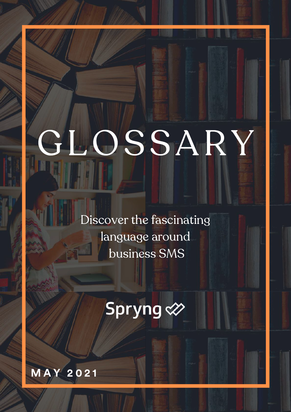# GLOSSARY

Discover the fascinating language around business SMS

## Spryng &

**M A Y 2 0 2 1**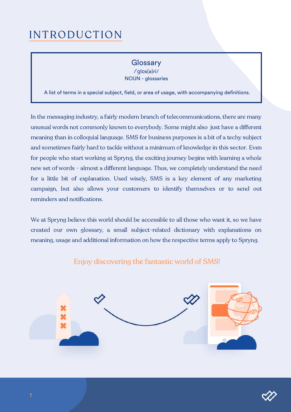#### INTRODUCTION

#### **Glossary**

/ˈɡlɒs(ə)ri/ NOUN - glossaries

A list of terms in a special subject, field, or area of usage, with accompanying definitions.

In the messaging industry, a fairly modern branch of telecommunications, there are many unusual words not commonly known to everybody. Some might also just have a different meaning than in colloquial language. SMS for business purposes is a bit of a techy subject and sometimes fairly hard to tackle without a minimum of knowledge in this sector. Even for people who start working at Spryng, the exciting journey begins with learning a whole new set of words - almost a different language. Thus, we completely understand the need for a little bit of explanation. Used wisely, SMS is a key element of any marketing campaign, but also allows your customers to identify themselves or to send out reminders and notifications.

We at Spryng believe this world should be accessible to all those who want it, so we have created our own glossary, a small subject-related dictionary with explanations on meaning, usage and additional information on how the respective terms apply to Spryng.



#### Enjoy discovering the fantastic world of SMS!

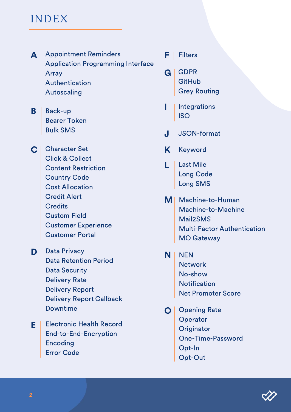#### INDEX

- **A** Appointment Reminders Application Programming Interface Array Authentication Autoscaling
- **B** Back-up Bearer Token Bulk SMS
- C | Character Set Click & Collect Content Restriction Country Code Cost Allocation Credit Alert **Credits** Custom Field Customer Experience Customer Portal
- D | Data Privacy Data Retention Period Data Security Delivery Rate Delivery Report Delivery Report Callback Downtime
- **E** | Electronic Health Record End-to-End-Encryption Encoding Error Code
- **F** Filters
- G GDPR **GitHub** Grey Routing
- I Integrations ISO
- J JSON-format
- K | Keyword
- **Last Mile** Long Code Long SMS
- M Machine-to-Human Machine-to-Machine Mail2SMS Multi-Factor Authentication MO Gateway
- **N** | NEN **Network** No-show **Notification** Net Promoter Score
- **O** Opening Rate **Operator Originator** One-Time-Password Opt-In Opt-Out

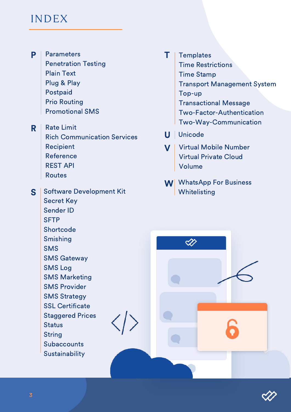#### INDEX

P **Parameters** Penetration Testing Plain Text Plug & Play Postpaid Prio Routing Promotional SMS

R Rate Limit Rich Communication Services Recipient Reference REST API Routes

S Software Development Kit Secret Key Sender ID **SFTP Shortcode** Smishing SMS SMS Gateway SMS Log SMS Marketing SMS Provider SMS Strategy SSL Certificate Staggered Prices **Status** String

> **Subaccounts Sustainability**

- T **Templates** Time Restrictions Time Stamp Transport Management System Top-up Transactional Message Two-Factor-Authentication Two-Way-Communication
- U | Unicode

≪

- **V** | Virtual Mobile Number Virtual Private Cloud Volume
- W WhatsApp For Business **Whitelisting**

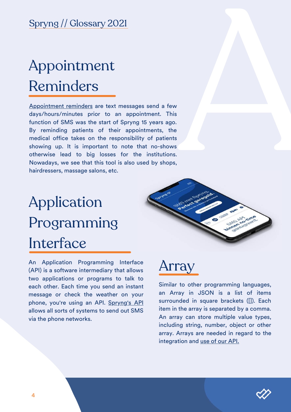## Appointment Reminders

A [Appointment](https://www.spryng.nl/en/sms-appointment-reminder/) reminders are text messages<br>days/hours/minutes prior to an appoint<br>function of SMS was the start of Spryng 18<br>By reminding patients of their appoint<br>medical office takes on the responsibility<br>showing up. It is s e n d a f e w days/hours/minutes prior to an appointment. This function of SMS was the start of Spryng 15 years ago. By reminding patients of their appointments, the medical office takes on the responsibility of patients showing up. It is important to note that no-shows otherwise lead to big losses for the institutions. Nowadays, we see that this tool is also used by shops, hairdressers, massage salons, etc.

An (AF<br>(AF two eac<br>me pho allc<br>via<br>4 Application Programming Interface (API) is a software intermediary that allows two applications or programs to talk to each other. Each time you send an instant message or check the weather on your phone, you're using an API. <u>Spryn[g's](https://www.spryng.nl/en/sms-api/) API</u> allows all sorts of systems to send out SMS





Similar to other programming languages, an Array in JSON is a list of items surrounded in square brackets ([]). Each item in the array is separated by a comma. An array can store multiple value types, including string, number, object or other array. Arrays are needed in regard to the integration and <u>use of our A[PI.](https://docs.spryngsms.com/)</u>

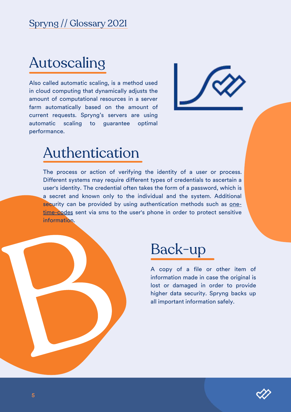Also called automatic scaling, is a method used in cloud computing that dynamically adjusts the amount of computational resources in a server farm automatically based on the amount of current requests. Spryng's servers are using automatic scaling to guarantee o p t i m al Spryng // Glossary 2021<br>Autoscaling<br>Also called automatic scaling, is a m<br>in cloud computing that dynamically<br>amount of computational resources<br>farm automatically based on the<br>current requests. Spryng's servers<br>automatic s



## ion

The process or action of verifying the identity of a user or process. Different systems may require different types of credentials to ascertain a user's identity. The credential often takes the form of a password, which is a secret and known only to the individual and the system. Additional security can be provided by using [authentication](https://www.spryng.nl/en/sms-authentication/) methods such as onetime-codes sent via sms to the user's phone in order to protect sensitive information.



A copy of a file or other item of information made in case the original is lost or damaged in order to provide higher data security. Spryng backs up **Back-up**<br>A copy of a file or other<br>information made in case the or<br>lost or damaged in order to<br>higher data security. Spryng b<br>all important information safely.

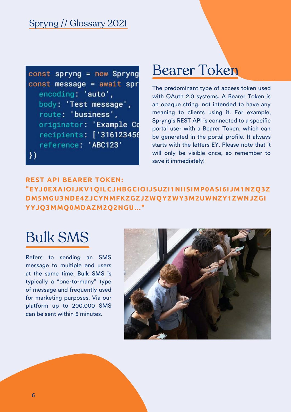

#### Bearer Token

The predominant type of access token used with OAuth 2.0 systems. A Bearer Token is an opaque string, not intended to have any meaning to clients using it. For example, Spryng's REST API is connected to a specific portal user with a Bearer Token, which can be generated in the portal profile. It always starts with the letters EY. Please note that it will only be visible once, so remember to save it immediately!

**REST API BEARER TOKEN: "EYJ0EXAIOIJKV1QILCJHBGCIOIJSUZI1NIISIMP0ASI6IJM1NZQ3Z DM5MGU3NDE4ZJCYNMFKZGZJZWQYZWY3M2UWNZY1ZWNJZGI YYJQ3MMQ0MDAZM2Q2NGU..."**

### Bulk SMS

Refers to sending an SMS message to multiple end users at the same time. Bulk [SMS](https://www.spryng.nl/en/bulk-sms/) is typically a "one-to-many" type of message and frequently used for marketing purposes. Via our platform up to 200.000 SMS can be sent within 5 minutes.

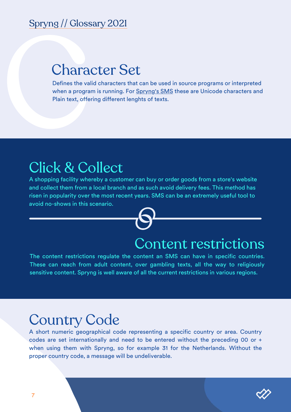#### Character Set

Spryng // Glossary 2021<br>Character Set<br>Defines the valid characters that can be used in source programs or interpreted<br>when a program is running. For <u>Spryng's SMS</u> these are Unicode characters and<br>Plain text, offering diff when a program is running. For [Spryng's](https://docs.spryngsms.com/) SMS these are Unicode characters and Plain text, offering different lenghts of texts.

#### Click & Collect

A shopping facility whereby a customer can buy or order goods from a store's website and collect them from a local branch and as such avoid delivery fees. This method has risen in popularity over the most recent years. SMS can be an e[xtremely](https://www.spryng.nl/en/handy-tool-for-click-collect-sms-service/) useful tool to avoid no-shows in this scenario.



#### Content restrictions

The content restrictions regulate the content an SMS can have in specific countries. These can reach from adult content, over gambling texts, all the way to religiously sensitive content. Spryng is well aware of all the current restrictions in various regions.

#### Country Code

A short numeric geographical code representing a specific country or area. Country codes are set internationally and need to be entered without the preceding 00 or + when using them with Spryng, so for example 31 for the Netherlands. Without the proper country code, a message will be undeliverable.

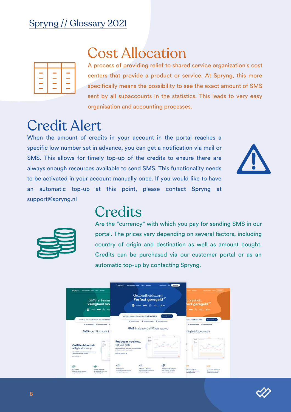

#### Cost Allocation

A process of providing relief to shared service organization's cost centers that provide a product or service. At Spryng, this more specifically means the possibility to see the exact amount of SMS sent by all subaccounts in the statistics. This leads to very easy organisation and accounting processes.

#### Credit Alert

When the amount of credits in your account in the portal reaches a specific low number set in advance, you can get a notification via mail or SMS. This allows for timely top-up of the credits to ensure there are always enough resources available to send SMS. This functionality needs to be activated in your account manually once. If you would like to have an automatic top-up at this point, please contact Spryng at support@spryng.nl





#### **Credits**

Are the "currency" with which you pay for sending SMS in our portal. The prices vary depending on several factors, including country of origin and destination as well as amount bought. Credits can be purchased via our customer portal or as an automatic top-up by contacting Spryng.



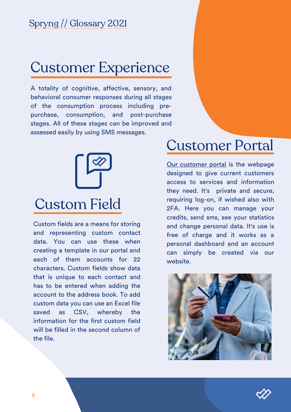#### Customer Experience

A totality of cognitive, affective, sensory, and behavioral consumer responses during all stages of the consumption process including prepurchase, consumption, and post-purchase stages. All of these stages can be improved and assessed easily by using SMS messages.



Custom fields are a means for storing and representing custom contact data. You can use these when creating a template in our portal and each of them accounts for 22 characters. Custom fields show data that is unique to each contact and has to be entered when adding the account to the address book. To add custom data you can use an Excel file saved as CSV, whereby the information for the first custom field will be filled in the second column of the file.

#### Customer Portal

Our [customer](https://portal.spryngsms.com/) portal is the webpage designed to give current customers access to services and information they need. It's private and secure, requiring log-on, if wished also with 2FA. Here you can manage your credits, send sms, see your statistics and change personal data. It's use is free of charge and it works as a personal dashboard and an account can simply be created via our website.



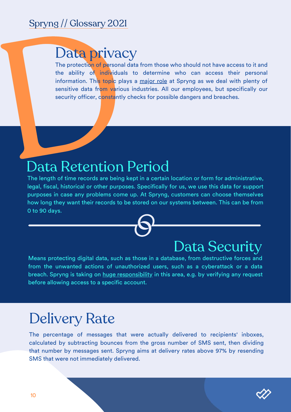#### Data privacy

Data private the ability of individual information. This topic plasma the ability of individual information. This topic plasma is essentive data from various security officer, constantly The protection of personal data from those who should not have access to it and the ability of individuals to determine who can access their personal information. This topic plays a [major](https://www.spryng.nl/en/security/) role at Spryng as we deal with plenty of sensitive data from various industries. All our employees, but specifically our security officer, constantly checks for possible dangers and breaches.

#### Data Retention Period

The length of time records are being kept in a certain location or form for administrative, legal, fiscal, historical or other purposes. Specifically for us, we use this data for support purposes in case any problems come up. At Spryng, customers can choose themselves how long they want their records to be stored on our systems between. This can be from 0 to 90 days.

#### Data Security

Means protecting digital data, such as those in a database, from destructive forces and from the unwanted actions of unauthorized users, such as a cyberattack or a data breach. Spryng is taking on **huge [responsibility](https://www.spryng.nl/en/security/)** in this area, e.g. by verifying any request before allowing access to a specific account.

#### Delivery Rate

The percentage of messages that were actually delivered to recipients' inboxes, calculated by subtracting bounces from the gross number of SMS sent, then dividing that number by messages sent. Spryng aims at delivery rates above 97% by resending SMS that were not immediately delivered.

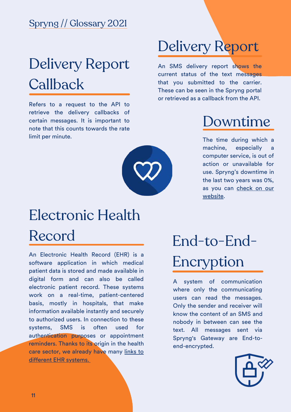## Delivery Report **Callback**

Refers to a request to the API to retrieve the delivery callbacks of certain messages. It is important to note that this counts towards the rate limit per minute.



### Delivery Report

An SMS delivery report shows the current status of the text messages that you submitted to the carrier. These can be seen in the Spryng portal or retrieved as a callback from the API.

#### Downtime

The time during which a machine, especially a computer service, is out of action or unavailable for use. Spryng's downtime in the last two years was 0%, as you can check on our [website.](http://status.spryngsms.com/)

## Electronic Health Record

An Electronic Health Record (EHR) is a software [application](https://nl.wikipedia.org/wiki/Software) in which [medical](https://nl.wikipedia.org/wiki/Geneeskunde) [patient](https://nl.wikipedia.org/wiki/Pati%C3%ABnt) data is stored and made available in digital form and can also be called electronic patient record. These systems work on a real-time, patient-centered basis, mostly in hospitals, that make information available instantly and securely to authorized users. In connection to these systems, SMS is often used for authentication purposes or appointment reminders. Thanks to its origin in the health care sector, we already have many links to different EHR [systems.](https://www.spryng.nl/en/integrations/)

## End-to-End-Encryption

A system of communication where only the communicating users can read the messages. Only the sender and receiver will know the content of an SMS and nobody in between can see the text. All messages sent via Spryng's Gateway are End-toend-encrypted.

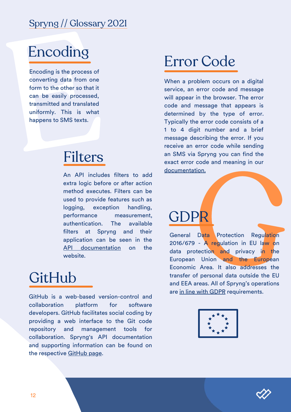### Encoding

Encoding is the process of<br>
Encoding is the process of<br>
converting data from one<br>
form to the other so that it<br>
can be easily processed,<br>
transmitted and translated<br>
uniformly. This is what<br>
happens to SMS texts. Encoding is the process of converting data from one form to the other so that it can be easily processed, transmitted and translated uniformly. This is what happens to SMS texts.

#### Filters

An API includes filters to add extra logic before or after action method executes. Filters can be used to provide features such as logging, exception handling, performance measurement, authentication. The available filters at Spryng and their application can be seen in the API [documentation](https://docs.spryngsms.com/) on the website.

#### GitHub

GitHub is a web-based version-control and collaboration platform for software developers. GitHub facilitates social coding by providing a web interface to the Git code repository and management tools for collaboration. Spryng's API documentation and supporting [information](https://github.com/Spryng) can be found on the respective [GitHub](https://github.com/Spryng) page.

#### Error Code

When a problem occurs on a digital service, an error code and message will appear in the browser. The error code and message that appears is determined by the type of error. Typically the error code consists of a 1 to 4 digit number and a brief message describing the error. If you receive an error code while sending an SMS via Spryng you can find the exact error code and meaning in our [documentation.](https://docs.spryngsms.com/#3-http-status-codes)

## **GDPF**

ation.<br>
Data Protection Regulation<br>
9 - A regulation in EU law on<br>
rotection and privacy in the<br>
n Union and the European<br>
ic Area. It also addresses the General Data Protection Regulation 2016/679 - A regulation in EU law on data protection and privacy in the European Union and the European Economic Area. It also addresses the transfer of personal data outside the EU and EEA areas. All of Spryng's operations are in line with [GDPR](https://www.spryng.nl/en/security/) requirements.



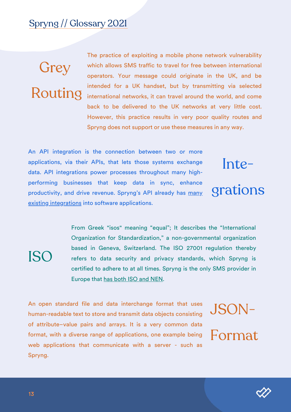## **Grey** Routing

The practice of exploiting a mobile phone network vulnerability which allows SMS traffic to travel for free between international operators. Your message could originate in the UK, and be intended for a UK handset, but by transmitting via selected international networks, it can travel around the world, and come back to be delivered to the UK networks at very little cost. However, this practice results in very poor quality routes and Spryng does not support or use these measures in any way.

An API integration is the connection between two or more applications, via their APIs, that lets those systems exchange data. API integrations power processes throughout many highperforming businesses that keep data in sync, enhance [productivity,](https://www.spryng.nl/en/integrations/) and drive revenue. Spryng's API already has many existing integrations into software applications.

## Integrations

ISO

From Greek "isos" meaning "equal"; It describes the "International Organization for Standardization," a non-governmental organization based in Geneva, Switzerland. The ISO 27001 regulation thereby refers to data security and privacy standards, which Spryng is certified to adhere to at all times. Spryng is the only SMS provider in Europe that has both ISO and [NEN.](https://www.spryng.nl/en/security/)

An open standard file and data interchange format that uses human-readable text to store and transmit data objects consisting of attribute–value pairs and arrays. It is a very common data format, with a diverse range of applications, one example being web applications that communicate with a server - such as Spryng.

## JSON-Format

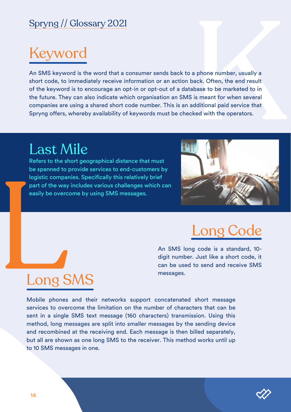## Keyword

An SMS keyword is the word that a consumer sends back to a phone number, usually a a phone number, usually a<br>back. Often, the end result<br>abase to be marketed to in<br>i is meant for when several<br>additional paid service that<br>cked with the operators. short code, to immediately receive information or an action back. Often, the end result of the keyword is to encourage an opt-in or opt-out of a database to be marketed to in the future. They can also indicate which organisation an SMS is meant for when several companies are using a shared short code number. This is an additional paid service that Spryng offers, whereby availability of keywords must be checked with the operators.

#### Last Mile

Long SMS

Last /v<br>
Refers to the sl<br>
be spanned to<br>
logistic compared part of the way<br>
easily be overced and the way<br>
easily be overced and the way Refers to the short geographical distance that must be spanned to provide services to end-customers by logistic companies. Specifically this relatively brief part of the way includes various challenges which can easily be overcome by using SMS messages.



#### Long Code

An SMS long code is a standard, 10 digit number. Just like a short code, it can be used to send and receive SMS messages.

#### Mobile [phones](https://en.wikipedia.org/wiki/Mobile_phone) and their [networks](https://en.wikipedia.org/wiki/Cellular_network) support concatenated short message services to overcome the limitation on the number of [characters](https://en.wikipedia.org/wiki/Character_(computing)) that can be sent in a single [SMS](https://en.wikipedia.org/wiki/Short_message_service) text message (160 characters) transmission. Using this method, long messages are split into smaller messages by the sending device and recombined at the receiving end. Each message is then billed separately, but all are shown as one long SMS to the receiver. This method works until up to 10 SMS messages in one.

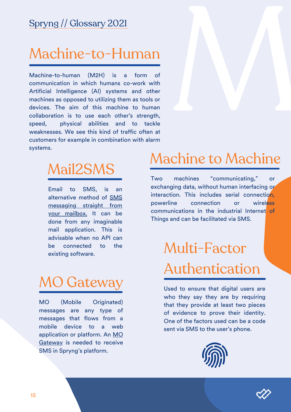#### Machine-to-Human

Machine-to-human (M2H) is communication in which humans co-work with Artificial Intelligence (AI) systems and other machines as opposed to utilizing them as tools or devices. The aim of this machine to human collaboration is to use each other's strength, speed, weaknesses. We see this kind of traffic often at customers for example in combination with alarm systems. p h y s i c a l abilities and to tackle a f o r m itl<br>ne<br>al o f ,M

#### Mail2SMS

Email to SMS, is an alternative method of SMS [messaging](https://www.spryng.nl/en/email-to-sms/) straight from your mailbox. It can be done from any imaginable mail application. This is advisable when no API can be connected to the existing software.

#### MO Gateway

MO (Mobile Originated) messages are any type of messages that flows from a mobile device to a web [application](https://docs.spryngsms.com/) or platform. An MO Gateway is needed to receive SMS in Spryng's platform.

#### Machine to Machine

Two machines "communicating," or exchanging data, without human interfacing or interaction. This includes serial connection, powerline connection or wireless communications in the industrial Internet of Things and can be facilitated via SMS.

## Multi-Factor Authentication

Used to ensure that digital users are who they say they are by requiring that they provide at least two pieces of evidence to prove their identity. One of the factors used can be a code sent via SMS to the user's phone.



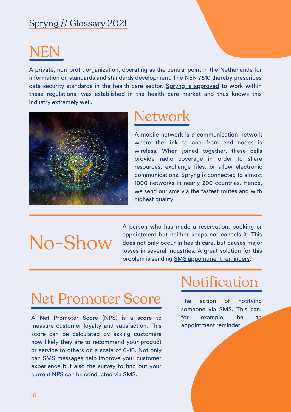## NEN

A private, non-profit organization, operating as the central point in the Netherlands for information on standards and standards development. The NEN 7510 thereby prescribes data security standards in the health care sector. Spryng is [approved](https://www.spryng.nl/en/security/) to work within these regulations, was established in the health care market and thus knows this industry extremely well.



#### **Network**

A mobile network is a [communication](https://en.wikipedia.org/wiki/Communication_network) network where the link to and from end nodes is [wireless.](https://en.wikipedia.org/wiki/Wireless) When joined together, these cells provide radio coverage in order to share resources, exchange files, or allow electronic communications. Spryng is connected to almost 1000 networks in nearly 200 countries. Hence, we send our sms via the fastest routes and with highest quality.

## No-Show

A person who has made a reservation, booking or appointment but neither keeps nor cancels it. This does not only occur in health care, but causes major losses in several industries. A great solution for this problem is sending **SMS** [appointment](https://www.spryng.nl/en/sms-appointment-reminder/) reminders.

#### Net Promoter Score

A Net Promoter Score (NPS) is a score to measure customer loyalty and satisfaction. This score can be calculated by asking customers how likely they are to recommend your product or service to others on a scale of 0-10. Not only can SMS messages help improve your customer [experience](https://www.spryng.nl/en/logistics/) but also the survey to find out your current NPS can be conducted via SMS.

#### **Notification**

The action of notifying someone via SMS. This can, for example, be an appointment reminder.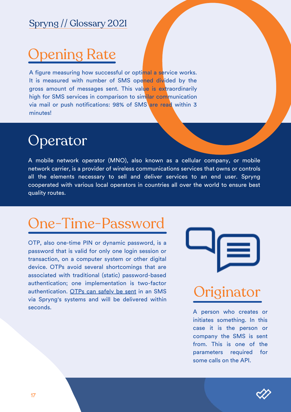pptimal a service works.<br>
opened divided by the<br>
value is extraordinarily<br>
similar communication<br>
SMS are read within 3 A figure measuring how successful or opti<mark>mal a se</mark>rvice works. It is measured with number of SMS opened divided by the gross amount of messages sent. This value is extraordinarily high for SMS services in comparison to similar communication via mail or push notifications: 98% of SMS are read within 3 minutes!

A mobile network operator (MNO), also known as a cellular company, or mobile network carrier, is a provider of wir[ele](https://en.wikipedia.org/wiki/Wireless_communications)ss communications services that owns or controls all the elements necessary to sell and deliver services to an end user. Spryng cooperated with various local operators in countries all over the world to ensure best quality routes.

OTP, also one-time PIN or dynamic password, is a password that is valid for only one login session or transaction, on a computer system or other digital device. OTPs avoid several shortcomings that are associated with traditional (static) password-based authentication; one implementation is two-factor authentication. OTPs can [safely](https://www.spryng.nl/en/sms-authentication/) be sent in an SMS via Spryng's systems and will be delivered within Spryng // Glossary 2021<br>
Opening Rate<br>
A figure measuring how successful or optimal a ser<br>
It is measured with number of SMS opened divid<br>
gross amount of messages sent. This value is exile<br>
wia mail or push notifications:

#### Originator

A person who creates or initiates something. In this case it is the person or company the SMS is sent from. This is one of the parameters required f o r some calls on the API.

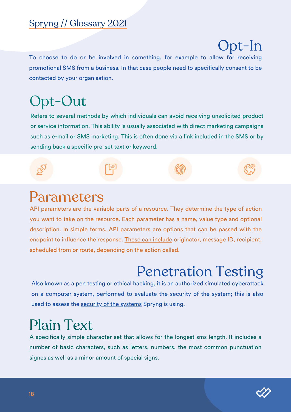## Opt-In

To choose to do or be involved in something, for example to allow for receiving promotional SMS from a business. In that case people need to specifically consent to be contacted by your organisation.

### Opt-Out

Refers to several methods by which individuals can avoid receiving unsolicited product or service information. This ability is usually associated with direct marketing campaigns such as e-mail or SMS marketing. This is often done via a link included in the SMS or by sending back a specific pre-set text or keyword.



#### Parameters

API parameters are the variable parts of a resource. They determine the type of action you want to take on the resource. Each parameter has a name, value type and optional description. In simple terms, API parameters are options that can be passed with the endpoint to influence the response. These can [include](https://docs.spryngsms.com/) originator, message ID, recipient, scheduled from or route, depending on the action called.

#### Penetration Testing

Also known as a pen testing or ethical hacking, it is an authorized simulated cyberattack on a computer system, performed to evaluate the security of the system; this is also used to assess the security of the [systems](https://www.spryng.nl/en/security/) Spryng is using.

#### Plain Text

A specifically simple character set that allows for the longest sms length. It includes a number of basic [characters](https://docs.spryngsms.com/), such as letters, numbers, the most common punctuation signes as well as a minor amount of special signs.

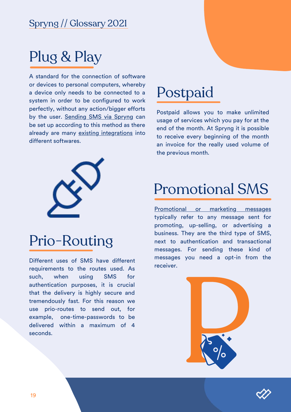## Plug & Play

A standard for the connection of software or devices to personal computers, whereby a device only needs to be connected to a system in order to be configured to work perfectly, without any action/bigger efforts by the user. [Sending](https://www.spryng.nl/en/sms-api/) SMS via Spryng can be set up according to this method as there already are many existing [integrations](https://www.spryng.nl/en/integrations/) into different softwares.



#### Prio-Routing

Different uses of SMS have different requirements to the routes used. As such, when using SMS for authentication purposes, it is crucial that the delivery is highly secure and tremendously fast. For this reason we use prio-routes to send out, for example, one-time-passwords to be delivered within a maximum of 4 seconds.

#### Postpaid

Postpaid allows you to make unlimited usage of services which you pay for at the end of the month. At Spryng it is possible to receive every beginning of the month an invoice for the really used volume of the previous month.

#### Promotional SMS

[Promotional](https://www.spryng.nl/en/bulk-sms/) or marketing messages typically refer to any message sent for promoting, up-selling, or advertising a business. They are the third type of SMS, next to authentication and transactional messages. For sending these kind of messages you need a opt-in from the receiver.



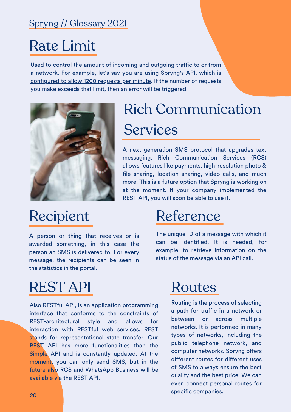#### Rate Limit

Used to control the amount of incoming and outgoing traffic to or from a network. For example, let's say you are using Spryng's API, which is [configured](https://docs.spryngsms.com/) to allow 1200 requests per minute. If the number of requests you make exceeds that limit, then an error will be triggered.



## Rich Communication **Services**

A next generation SMS protocol that upgrades text messaging. Rich [Communication](https://www.spryng.nl/en/rcs/) Services (RCS) allows features like payments, high-resolution photo & file sharing, location sharing, video calls, and much more. This is a future option that Spryng is working on at the moment. If your company implemented the REST API, you will soon be able to use it.

#### Recipient

A person or thing that receives or is awarded something, in this case the person an SMS is delivered to. For every message, the recipients can be seen in the statistics in the portal.

#### REST API

Also RESTful API, is an application programming interface that conforms to the constraints of REST-architectural style and allows for interaction with RESTful web services. REST stands for [representational](https://www.spryng.nl/en/sms-api/) state transfer. Our **REST API** has more functionalities than the Simple API and is constantly updated. At the moment, you can only send SMS, but in the future also RCS and WhatsApp Business will be available via the REST API.

#### Reference

The unique ID of a message with which it can be identified. It is needed, for example, to retrieve information on the status of the message via an API call.

#### Routes

Routing is the process of selecting a path for traffic in a network or between or across multiple networks. It is performed in many types of networks, including the public telephone network, and computer networks. Spryng offers different routes for different uses of SMS to always ensure the best quality and the best price. We can even connect personal routes for specific companies.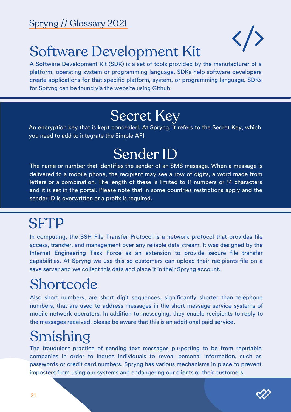

### Software Development Kit

A Software Development Kit (SDK) is a set of tools provided by the manufacturer of a platform, operating system or programming language. SDKs help software developers create applications for that specific platform, system, or programming language. SDKs for Spryng can be found via the [website](https://github.com/Spryng) using Github.

#### Secret Key

An encryption key that is kept concealed. At Spryng, it refers to the Secret Key, which you need to add to integrate the Simple API.

#### Sender ID

The name or number that identifies the sender of an SMS message. When a message is delivered to a mobile phone, the recipient may see a row of digits, a word made from letters or a combination. The length of these is limited to 11 numbers or 14 characters and it is set in the portal. Please note that in some countries restrictions apply and the sender ID is overwritten or a prefix is required.

#### **SFTP**

In computing, the SSH File Transfer Protocol is a network protocol that provides file access, transfer, and management over any reliable data stream. It was designed by the Internet Engineering Task Force as an extension to provide secure file transfer capabilities. At Spryng we use this so customers can upload their recipients file on a save server and we collect this data and place it in their Spryng account.

### **Shortcode**

Also short numbers, are short digit sequences, significantly shorter than telephone numbers, that are used to address messages in the short message service systems of mobile network operators. In addition to messaging, they enable recipients to reply to the messages received; please be aware that this is an additional paid service.

### Smishing

The fraudulent practice of sending text messages purporting to be from reputable companies in order to induce individuals to reveal personal information, such as passwords or credit card numbers. Spryng has various mechanisms in place to prevent imposters from using our systems and endangering our clients or their customers.

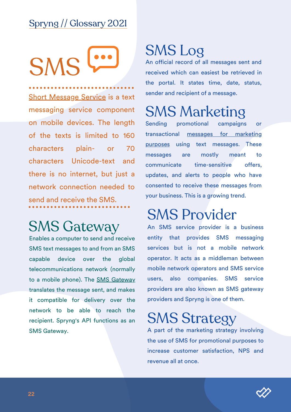**SMS** 

Short [Message](https://www.spryng.nl/en/sms-api/) Service is a text messaging service component on mobile devices. The length of the texts is limited to 160 characters plain- or 70 characters Unicode-text and there is no internet, but just a network connection needed to send and receive the SMS.

#### SMS Gateway

Enables a computer to send and receive SMS text messages to and from an SMS capable device over the global telecommunications network (normally to a mobile phone). The SMS [Gateway](https://www.spryng.nl/en/sms-gateway/) translates the message sent, and makes it compatible for delivery over the network to be able to reach the recipient. Spryng's API functions as an SMS Gateway.

#### SMS Log

An official record of all messages sent and received which can easiest be retrieved in the portal. It states time, date, status, sender and recipient of a message.

### SMS Marketing

Sending promotional campaigns or [transactional](https://www.spryng.nl/en/bulk-sms/) messages for marketing purposes using text messages. These messages are mostly meant to communicate time-sensitive offers, updates, and alerts to people who have consented to receive these messages from your business. This is a growing trend.

#### SMS Provider

An SMS service provider is a business entity that provides SMS messaging services but is not a mobile network operator. It acts as a middleman between mobile network operators and SMS service users, also companies. SMS service providers are also known as SMS gateway providers and Spryng is one of them.

#### SMS Strategy

A part of the marketing strategy involving the use of SMS for promotional purposes to increase customer satisfaction, NPS and revenue all at once.

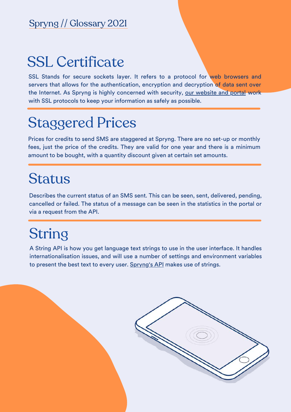#### SSL Certificate

SSL Stands for secure sockets layer. It refers to a protocol for web browsers and servers that allows for the authentication, encryption and decryption of data sent over the Internet. As Spryng is highly concerned with security, our [website](https://www.spryng.nl/en/security/) and portal work with SSL protocols to keep your information as safely as possible.

### Staggered Prices

Prices for credits to send SMS are staggered at Spryng. There are no set-up or monthly fees, just the price of the credits. They are valid for one year and there is a minimum amount to be bought, with a quantity discount given at certain set amounts.

#### Status

Describes the current status of an SMS sent. This can be seen, sent, delivered, pending, cancelled or failed. The status of a message can be seen in the statistics in the portal or via a request from the API.

#### String

A String API is how you get language text strings to use in the user interface. It handles internationalisation issues, and will use a number of settings and environment variables to present the best text to every user. [Spryng's](https://docs.spryngsms.com/) API makes use of strings.

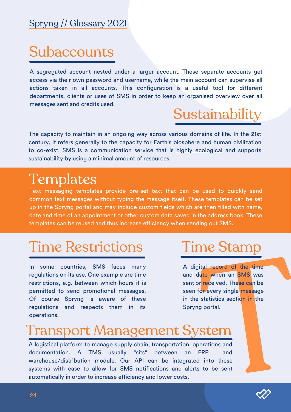## **Subaccounts**

A segregated account nested under a larger account. These separate accounts get access via their own password and username, while the main account can supervise all actions taken in all accounts. This configuration is a useful tool for different departments, clients or uses of SMS in order to keep an organised overview over all messages sent and credits used.

### **Sustainability**

The capacity to maintain in an ongoing way across various domains of life. In the 21st century, it refers generally to the capacity for Earth's biosphere and human civilization to co-exist. SMS is a communication service that is highly [ecological](https://www.spryng.nl/en/why-spryng-and-sending-sms-is-pretty-green/) and supports sustainability by using a minimal amount of resources.

#### **Templates**

Text messaging templates provide pre-set text that can be used to quickly send common text messages without typing the message itself. These templates can be set up in the Spryng portal and may include custom fields which are then filled with name, date and time of an appointment or other custom data saved in the address book. These templates can be reused and thus increase efficiency when sending out SMS.

#### Time Restrictions

In some countries, SMS faces many regulations on its use. One example are time restrictions, e.g. between which hours it is permitted to send promotional messages. Of course Spryng is aware of these regulations and respects them in its operations.

#### Time Stamp

positive the time<br>
and the when an SMS was<br>
interested. These can be<br>
for every single message<br>
atatistics section in the<br>
integrations and<br>
ERP and<br>
dinto these<br>
is to be sent A digital record of the time and date when an SMS was sent or received. These can be seen for every single message in the statistics section in the Spryng portal.

#### Transport Management System

A logistical platform to manage supply chain, transportation, operations and documentation. A TMS usually "sits" between an ERP and warehouse/distribution module. Our API can be integrated into these systems with ease to allow for SMS notifications and alerts to be sent automatically in order to increase efficiency and lower costs.

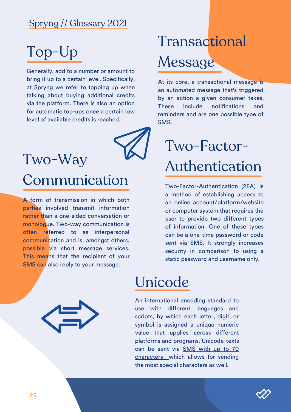## Top-Up

Generally, add to a number or amount to bring it up to a certain level. Specifically, at Spryng we refer to topping up when talking about buying additional credits via the platform. There is also an option for automatic top-ups once a certain low level of available credits is reached.



### Two-Way

#### Communication

A form of transmission in which both parties involved transmit information rather than a one-sided conversation or monologue. Two-way communication is often referred to as interpersonal communication and is, amongst others, possible via short message services. This means that the recipient of your SMS can also reply to your message.

## Transactional Message

At its core, a transactional message is an automated message that's triggered by an action a given consumer takes. These include notifications and reminders and are one possible type of SMS.

## Two-Factor-Authentication

[Two-Factor-Authentication](https://www.spryng.nl/en/sms-authentication/) (2FA) is a method of establishing access to an online account/platform/website or computer system that requires the user to provide two different types of information. One of these types can be a one-time password or code sent via SMS. It strongly increases security in comparison to using a static password and username only.

#### Unicode

An international encoding standard to use with different languages and scripts, by which each letter, digit, or symbol is assigned a unique numeric value that applies across different platforms and programs. Unicode-texts can be sent via SMS with up to 70 [characters](https://docs.spryngsms.com/) [w](https://docs.spryngsms.com/)hich allows for sending the most special characters as well.

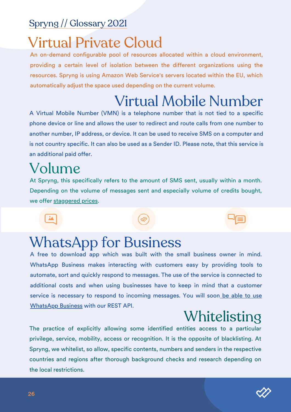#### Virtual Private Cloud

An on-demand configurable pool of resources allocated within a cloud environment, providing a certain level of isolation between the different organizations using the resources. Spryng is using Amazon Web Service's servers located within the EU, which automatically adjust the space used depending on the current volume.

## Virtual Mobile Number

A Virtual Mobile Number (VMN) is a telephone number that is not tied to a specific phone device or line and allows the user to redirect and route calls from one number to another number, IP address, or device. It can be used to receive SMS on a computer and is not country specific. It can also be used as a Sender ID. Please note, that this service is an additional paid offer.

#### Volume

At Spryng, this specifically refers to the amount of SMS sent, usually within a month. Depending on the volume of messages sent and especially volume of credits bought, we offer [staggered](https://www.spryng.nl/en/pricing/) prices.

#### WhatsApp for Business

A free to download app which was built with the small business owner in mind. WhatsApp Business makes interacting with customers easy by providing tools to automate, sort and quickly respond to messages. The use of the service is connected to additional costs and when using businesses have to keep in mind that a customer service is necessary to respond to incoming messages. You will soon be able to use WhatsApp Business with our REST API.

### [Whitelisting](https://www.spryng.nl/whatsapp/)

The practice of explicitly allowing some identified entities access to a particular privilege, service, mobility, access or recognition. It is the opposite of blacklisting. At Spryng, we whitelist, so allow, specific contents, numbers and senders in the respective countries and regions after thorough background checks and research depending on the local restrictions.